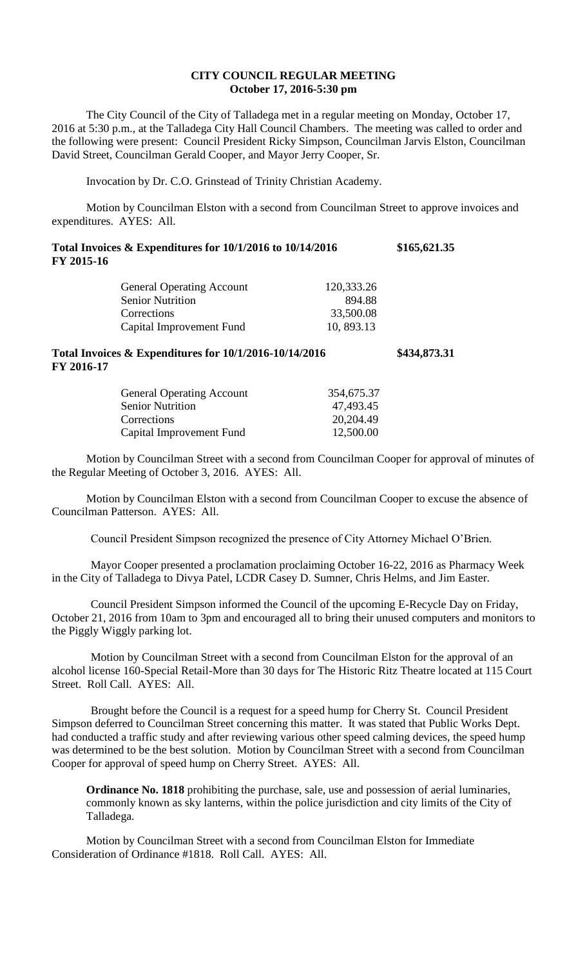## **CITY COUNCIL REGULAR MEETING October 17, 2016-5:30 pm**

The City Council of the City of Talladega met in a regular meeting on Monday, October 17, 2016 at 5:30 p.m., at the Talladega City Hall Council Chambers. The meeting was called to order and the following were present: Council President Ricky Simpson, Councilman Jarvis Elston, Councilman David Street, Councilman Gerald Cooper, and Mayor Jerry Cooper, Sr.

Invocation by Dr. C.O. Grinstead of Trinity Christian Academy.

Motion by Councilman Elston with a second from Councilman Street to approve invoices and expenditures. AYES: All.

| Total Invoices $\&$ Expenditures for 10/1/2016 to 10/14/2016 | \$165,621.35 |
|--------------------------------------------------------------|--------------|
| FY 2015-16                                                   |              |

| <b>General Operating Account</b> | 120,333.26 |
|----------------------------------|------------|
| <b>Senior Nutrition</b>          | 894.88     |
| Corrections                      | 33,500.08  |
| Capital Improvement Fund         | 10, 893.13 |

## **Total Invoices & Expenditures for 10/1/2016-10/14/2016 \$434,873.31 FY 2016-17**

| <b>General Operating Account</b> | 354,675.37 |
|----------------------------------|------------|
| <b>Senior Nutrition</b>          | 47,493.45  |
| Corrections                      | 20,204.49  |
| Capital Improvement Fund         | 12,500.00  |

Motion by Councilman Street with a second from Councilman Cooper for approval of minutes of the Regular Meeting of October 3, 2016. AYES: All.

Motion by Councilman Elston with a second from Councilman Cooper to excuse the absence of Councilman Patterson. AYES: All.

Council President Simpson recognized the presence of City Attorney Michael O'Brien.

Mayor Cooper presented a proclamation proclaiming October 16-22, 2016 as Pharmacy Week in the City of Talladega to Divya Patel, LCDR Casey D. Sumner, Chris Helms, and Jim Easter.

Council President Simpson informed the Council of the upcoming E-Recycle Day on Friday, October 21, 2016 from 10am to 3pm and encouraged all to bring their unused computers and monitors to the Piggly Wiggly parking lot.

Motion by Councilman Street with a second from Councilman Elston for the approval of an alcohol license 160-Special Retail-More than 30 days for The Historic Ritz Theatre located at 115 Court Street. Roll Call. AYES: All.

Brought before the Council is a request for a speed hump for Cherry St. Council President Simpson deferred to Councilman Street concerning this matter. It was stated that Public Works Dept. had conducted a traffic study and after reviewing various other speed calming devices, the speed hump was determined to be the best solution. Motion by Councilman Street with a second from Councilman Cooper for approval of speed hump on Cherry Street. AYES: All.

**Ordinance No. 1818** prohibiting the purchase, sale, use and possession of aerial luminaries, commonly known as sky lanterns, within the police jurisdiction and city limits of the City of Talladega.

Motion by Councilman Street with a second from Councilman Elston for Immediate Consideration of Ordinance #1818. Roll Call. AYES: All.